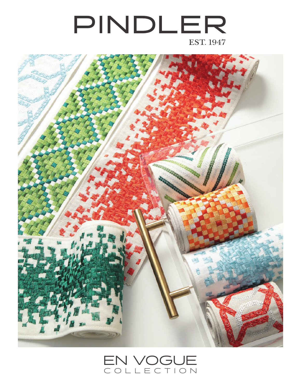## PINDLER **EST. 1947**